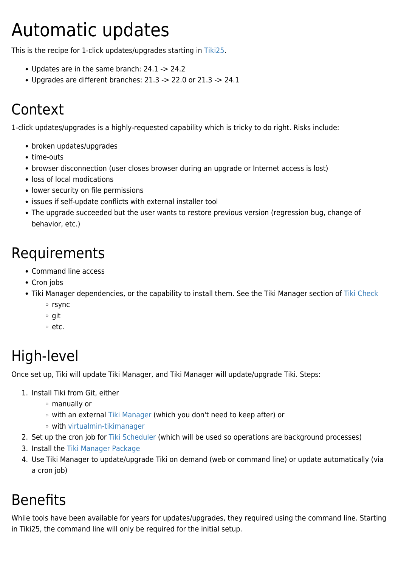# Automatic updates

This is the recipe for 1-click updates/upgrades starting in [Tiki25](https://doc.tiki.org/Tiki25).

- Updates are in the same branch: 24.1 -> 24.2
- Upgrades are different branches: 21.3 -> 22.0 or 21.3 -> 24.1

# Context

1-click updates/upgrades is a highly-requested capability which is tricky to do right. Risks include:

- broken updates/upgrades
- time-outs
- browser disconnection (user closes browser during an upgrade or Internet access is lost)
- loss of local modications
- lower security on file permissions
- issues if self-update conflicts with external installer tool
- The upgrade succeeded but the user wants to restore previous version (regression bug, change of behavior, etc.)

## Requirements

- Command line access
- Cron jobs
- Tiki Manager dependencies, or the capability to install them. See the Tiki Manager section of [Tiki Check](https://doc.tiki.org/Check)
	- o rsync
	- $\circ$  git
	- $\circ$  etc.

# High-level

Once set up, Tiki will update Tiki Manager, and Tiki Manager will update/upgrade Tiki. Steps:

- 1. Install Tiki from Git, either
	- manually or
	- with an external [Tiki Manager](https://doc.tiki.org/Manager) (which you don't need to keep after) or
	- with [virtualmin-tikimanager](https://gitlab.com/wikisuite/virtualmin-tikimanager)
- 2. Set up the cron job for [Tiki Scheduler](https://doc.tiki.org/Scheduler) (which will be used so operations are background processes)
- 3. Install the [Tiki Manager Package](https://doc.tiki.org/Tiki-Manager-Package)
- 4. Use Tiki Manager to update/upgrade Tiki on demand (web or command line) or update automatically (via a cron job)

# Benefits

While tools have been available for years for updates/upgrades, they required using the command line. Starting in Tiki25, the command line will only be required for the initial setup.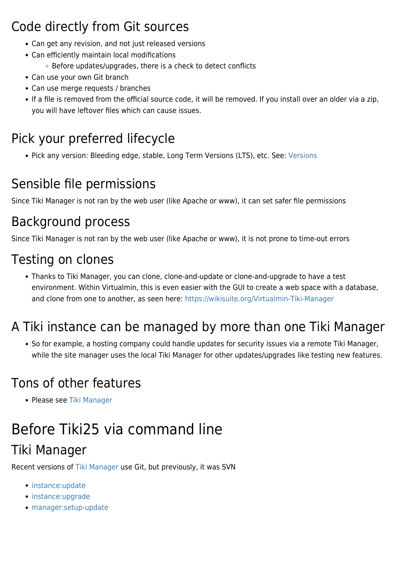#### Code directly from Git sources

- Can get any revision, and not just released versions
- Can efficiently maintain local modifications
	- Before updates/upgrades, there is a check to detect conflicts
- Can use your own Git branch
- Can use merge requests / branches
- If a file is removed from the official source code, it will be removed. If you install over an older via a zip, you will have leftover files which can cause issues.

### Pick your preferred lifecycle

• Pick any version: Bleeding edge, stable, Long Term [Versions](http://tiki.org/Versions) (LTS), etc. See: Versions

### Sensible file permissions

Since Tiki Manager is not ran by the web user (like Apache or www), it can set safer file permissions

#### Background process

Since Tiki Manager is not ran by the web user (like Apache or www), it is not prone to time-out errors

#### Testing on clones

Thanks to Tiki Manager, you can clone, clone-and-update or clone-and-upgrade to have a test environment. Within Virtualmin, this is even easier with the GUI to create a web space with a database, and clone from one to another, as seen here: <https://wikisuite.org/Virtualmin-Tiki-Manager>

### A Tiki instance can be managed by more than one Tiki Manager

• So for example, a hosting company could handle updates for security issues via a remote Tiki Manager, while the site manager uses the local Tiki Manager for other updates/upgrades like testing new features.

#### Tons of other features

• Please see [Tiki Manager](https://doc.tiki.org/Manager)

# Before Tiki25 via command line

### Tiki Manager

Recent versions of [Tiki Manager](https://doc.tiki.org/Manager) use Git, but previously, it was SVN

- [instance:update](https://doc.tiki.org/Manager#instance:update)
- [instance:upgrade](https://doc.tiki.org/Manager#instance:upgrade)
- [manager:setup-update](https://doc.tiki.org/Manager#manager:setup-update)